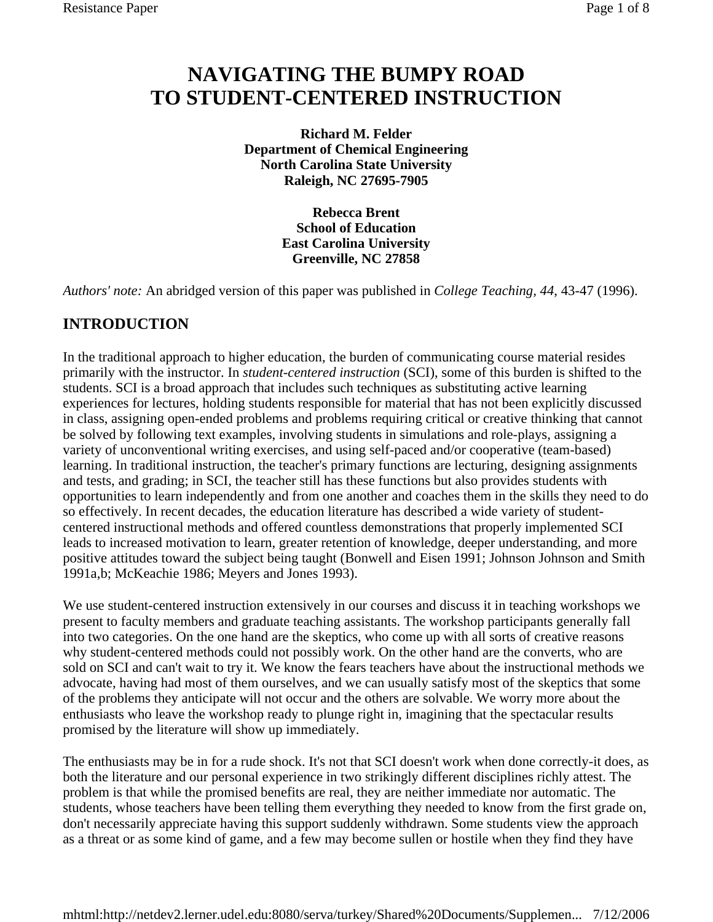# **NAVIGATING THE BUMPY ROAD TO STUDENT-CENTERED INSTRUCTION**

**Richard M. Felder Department of Chemical Engineering North Carolina State University Raleigh, NC 27695-7905** 

> **Rebecca Brent School of Education East Carolina University Greenville, NC 27858**

*Authors' note:* An abridged version of this paper was published in *College Teaching, 44*, 43-47 (1996).

## **INTRODUCTION**

In the traditional approach to higher education, the burden of communicating course material resides primarily with the instructor. In *student-centered instruction* (SCI), some of this burden is shifted to the students. SCI is a broad approach that includes such techniques as substituting active learning experiences for lectures, holding students responsible for material that has not been explicitly discussed in class, assigning open-ended problems and problems requiring critical or creative thinking that cannot be solved by following text examples, involving students in simulations and role-plays, assigning a variety of unconventional writing exercises, and using self-paced and/or cooperative (team-based) learning. In traditional instruction, the teacher's primary functions are lecturing, designing assignments and tests, and grading; in SCI, the teacher still has these functions but also provides students with opportunities to learn independently and from one another and coaches them in the skills they need to do so effectively. In recent decades, the education literature has described a wide variety of studentcentered instructional methods and offered countless demonstrations that properly implemented SCI leads to increased motivation to learn, greater retention of knowledge, deeper understanding, and more positive attitudes toward the subject being taught (Bonwell and Eisen 1991; Johnson Johnson and Smith 1991a,b; McKeachie 1986; Meyers and Jones 1993).

We use student-centered instruction extensively in our courses and discuss it in teaching workshops we present to faculty members and graduate teaching assistants. The workshop participants generally fall into two categories. On the one hand are the skeptics, who come up with all sorts of creative reasons why student-centered methods could not possibly work. On the other hand are the converts, who are sold on SCI and can't wait to try it. We know the fears teachers have about the instructional methods we advocate, having had most of them ourselves, and we can usually satisfy most of the skeptics that some of the problems they anticipate will not occur and the others are solvable. We worry more about the enthusiasts who leave the workshop ready to plunge right in, imagining that the spectacular results promised by the literature will show up immediately.

The enthusiasts may be in for a rude shock. It's not that SCI doesn't work when done correctly-it does, as both the literature and our personal experience in two strikingly different disciplines richly attest. The problem is that while the promised benefits are real, they are neither immediate nor automatic. The students, whose teachers have been telling them everything they needed to know from the first grade on, don't necessarily appreciate having this support suddenly withdrawn. Some students view the approach as a threat or as some kind of game, and a few may become sullen or hostile when they find they have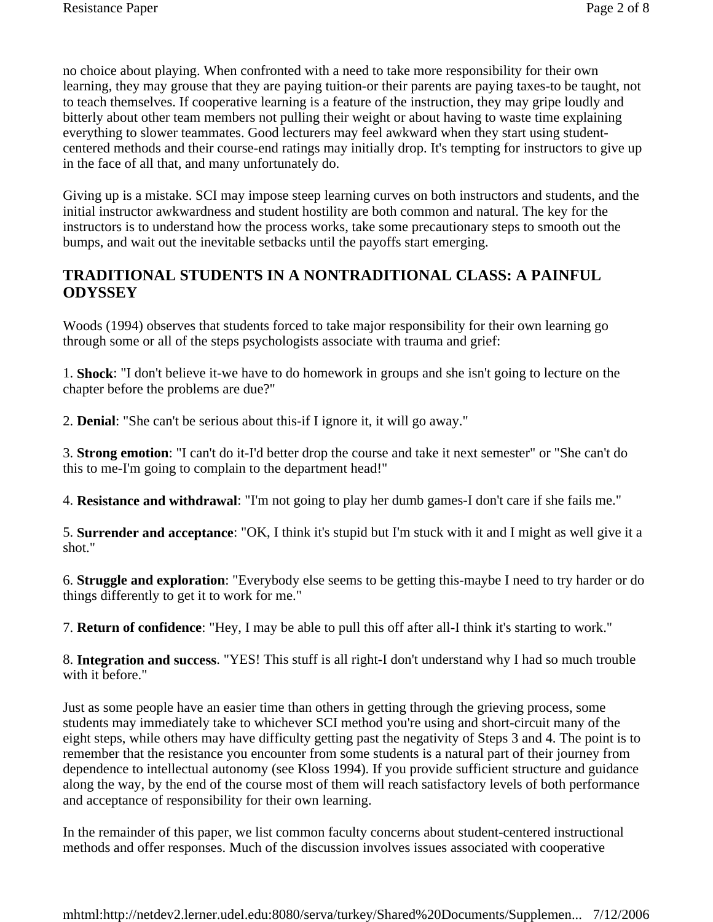no choice about playing. When confronted with a need to take more responsibility for their own learning, they may grouse that they are paying tuition-or their parents are paying taxes-to be taught, not to teach themselves. If cooperative learning is a feature of the instruction, they may gripe loudly and bitterly about other team members not pulling their weight or about having to waste time explaining everything to slower teammates. Good lecturers may feel awkward when they start using studentcentered methods and their course-end ratings may initially drop. It's tempting for instructors to give up in the face of all that, and many unfortunately do.

Giving up is a mistake. SCI may impose steep learning curves on both instructors and students, and the initial instructor awkwardness and student hostility are both common and natural. The key for the instructors is to understand how the process works, take some precautionary steps to smooth out the bumps, and wait out the inevitable setbacks until the payoffs start emerging.

## **TRADITIONAL STUDENTS IN A NONTRADITIONAL CLASS: A PAINFUL ODYSSEY**

Woods (1994) observes that students forced to take major responsibility for their own learning go through some or all of the steps psychologists associate with trauma and grief:

1. **Shock**: "I don't believe it-we have to do homework in groups and she isn't going to lecture on the chapter before the problems are due?"

2. **Denial**: "She can't be serious about this-if I ignore it, it will go away."

3. **Strong emotion**: "I can't do it-I'd better drop the course and take it next semester" or "She can't do this to me-I'm going to complain to the department head!"

4. **Resistance and withdrawal**: "I'm not going to play her dumb games-I don't care if she fails me."

5. **Surrender and acceptance**: "OK, I think it's stupid but I'm stuck with it and I might as well give it a shot."

6. **Struggle and exploration**: "Everybody else seems to be getting this-maybe I need to try harder or do things differently to get it to work for me."

7. **Return of confidence**: "Hey, I may be able to pull this off after all-I think it's starting to work."

8. **Integration and success**. "YES! This stuff is all right-I don't understand why I had so much trouble with it before."

Just as some people have an easier time than others in getting through the grieving process, some students may immediately take to whichever SCI method you're using and short-circuit many of the eight steps, while others may have difficulty getting past the negativity of Steps 3 and 4. The point is to remember that the resistance you encounter from some students is a natural part of their journey from dependence to intellectual autonomy (see Kloss 1994). If you provide sufficient structure and guidance along the way, by the end of the course most of them will reach satisfactory levels of both performance and acceptance of responsibility for their own learning.

In the remainder of this paper, we list common faculty concerns about student-centered instructional methods and offer responses. Much of the discussion involves issues associated with cooperative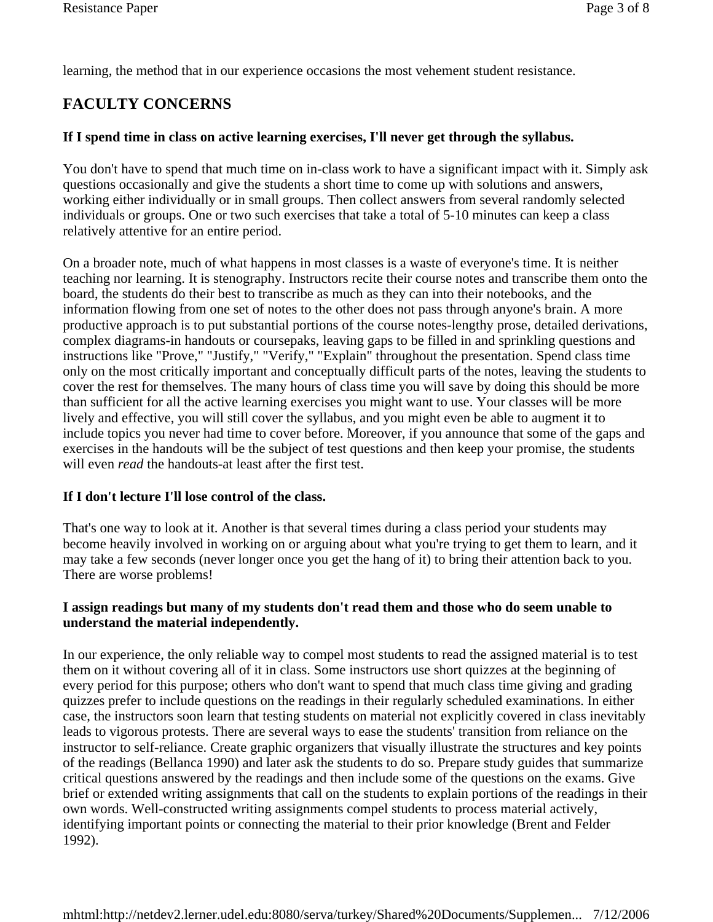learning, the method that in our experience occasions the most vehement student resistance.

## **FACULTY CONCERNS**

#### **If I spend time in class on active learning exercises, I'll never get through the syllabus.**

You don't have to spend that much time on in-class work to have a significant impact with it. Simply ask questions occasionally and give the students a short time to come up with solutions and answers, working either individually or in small groups. Then collect answers from several randomly selected individuals or groups. One or two such exercises that take a total of 5-10 minutes can keep a class relatively attentive for an entire period.

On a broader note, much of what happens in most classes is a waste of everyone's time. It is neither teaching nor learning. It is stenography. Instructors recite their course notes and transcribe them onto the board, the students do their best to transcribe as much as they can into their notebooks, and the information flowing from one set of notes to the other does not pass through anyone's brain. A more productive approach is to put substantial portions of the course notes-lengthy prose, detailed derivations, complex diagrams-in handouts or coursepaks, leaving gaps to be filled in and sprinkling questions and instructions like "Prove," "Justify," "Verify," "Explain" throughout the presentation. Spend class time only on the most critically important and conceptually difficult parts of the notes, leaving the students to cover the rest for themselves. The many hours of class time you will save by doing this should be more than sufficient for all the active learning exercises you might want to use. Your classes will be more lively and effective, you will still cover the syllabus, and you might even be able to augment it to include topics you never had time to cover before. Moreover, if you announce that some of the gaps and exercises in the handouts will be the subject of test questions and then keep your promise, the students will even *read* the handouts-at least after the first test.

#### **If I don't lecture I'll lose control of the class.**

That's one way to look at it. Another is that several times during a class period your students may become heavily involved in working on or arguing about what you're trying to get them to learn, and it may take a few seconds (never longer once you get the hang of it) to bring their attention back to you. There are worse problems!

#### **I assign readings but many of my students don't read them and those who do seem unable to understand the material independently.**

In our experience, the only reliable way to compel most students to read the assigned material is to test them on it without covering all of it in class. Some instructors use short quizzes at the beginning of every period for this purpose; others who don't want to spend that much class time giving and grading quizzes prefer to include questions on the readings in their regularly scheduled examinations. In either case, the instructors soon learn that testing students on material not explicitly covered in class inevitably leads to vigorous protests. There are several ways to ease the students' transition from reliance on the instructor to self-reliance. Create graphic organizers that visually illustrate the structures and key points of the readings (Bellanca 1990) and later ask the students to do so. Prepare study guides that summarize critical questions answered by the readings and then include some of the questions on the exams. Give brief or extended writing assignments that call on the students to explain portions of the readings in their own words. Well-constructed writing assignments compel students to process material actively, identifying important points or connecting the material to their prior knowledge (Brent and Felder 1992).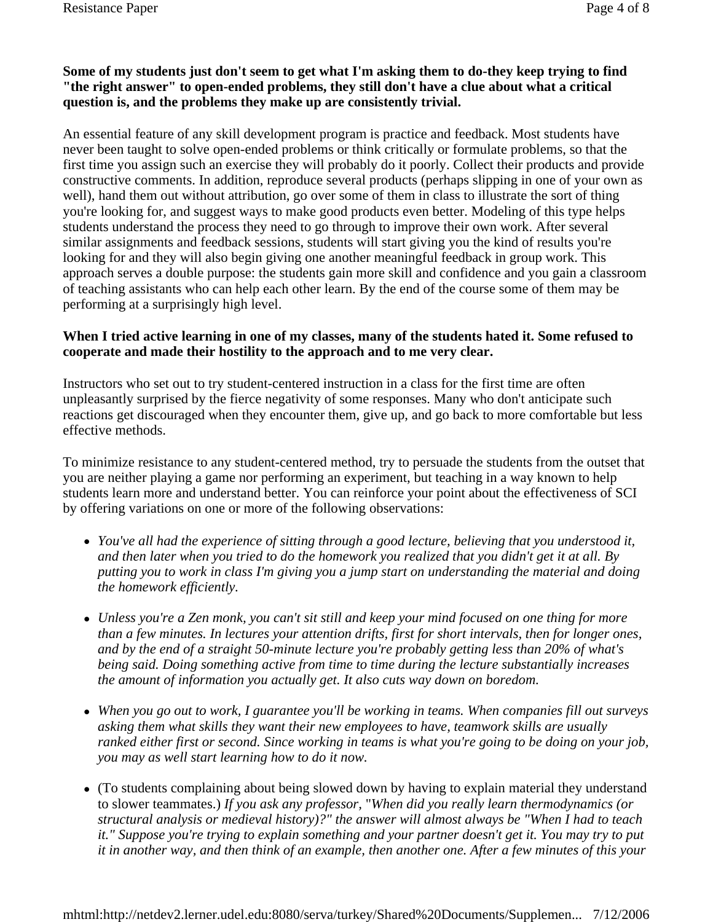#### **Some of my students just don't seem to get what I'm asking them to do-they keep trying to find "the right answer" to open-ended problems, they still don't have a clue about what a critical question is, and the problems they make up are consistently trivial.**

An essential feature of any skill development program is practice and feedback. Most students have never been taught to solve open-ended problems or think critically or formulate problems, so that the first time you assign such an exercise they will probably do it poorly. Collect their products and provide constructive comments. In addition, reproduce several products (perhaps slipping in one of your own as well), hand them out without attribution, go over some of them in class to illustrate the sort of thing you're looking for, and suggest ways to make good products even better. Modeling of this type helps students understand the process they need to go through to improve their own work. After several similar assignments and feedback sessions, students will start giving you the kind of results you're looking for and they will also begin giving one another meaningful feedback in group work. This approach serves a double purpose: the students gain more skill and confidence and you gain a classroom of teaching assistants who can help each other learn. By the end of the course some of them may be performing at a surprisingly high level.

#### **When I tried active learning in one of my classes, many of the students hated it. Some refused to cooperate and made their hostility to the approach and to me very clear.**

Instructors who set out to try student-centered instruction in a class for the first time are often unpleasantly surprised by the fierce negativity of some responses. Many who don't anticipate such reactions get discouraged when they encounter them, give up, and go back to more comfortable but less effective methods.

To minimize resistance to any student-centered method, try to persuade the students from the outset that you are neither playing a game nor performing an experiment, but teaching in a way known to help students learn more and understand better. You can reinforce your point about the effectiveness of SCI by offering variations on one or more of the following observations:

- *You've all had the experience of sitting through a good lecture, believing that you understood it, and then later when you tried to do the homework you realized that you didn't get it at all. By putting you to work in class I'm giving you a jump start on understanding the material and doing the homework efficiently.*
- *Unless you're a Zen monk, you can't sit still and keep your mind focused on one thing for more than a few minutes. In lectures your attention drifts, first for short intervals, then for longer ones, and by the end of a straight 50-minute lecture you're probably getting less than 20% of what's being said. Doing something active from time to time during the lecture substantially increases the amount of information you actually get. It also cuts way down on boredom.*
- When you go out to work, I guarantee you'll be working in teams. When companies fill out surveys *asking them what skills they want their new employees to have, teamwork skills are usually ranked either first or second. Since working in teams is what you're going to be doing on your job, you may as well start learning how to do it now.*
- (To students complaining about being slowed down by having to explain material they understand to slower teammates.) *If you ask any professor,* "*When did you really learn thermodynamics (or structural analysis or medieval history)?" the answer will almost always be "When I had to teach it." Suppose you're trying to explain something and your partner doesn't get it. You may try to put it in another way, and then think of an example, then another one. After a few minutes of this your*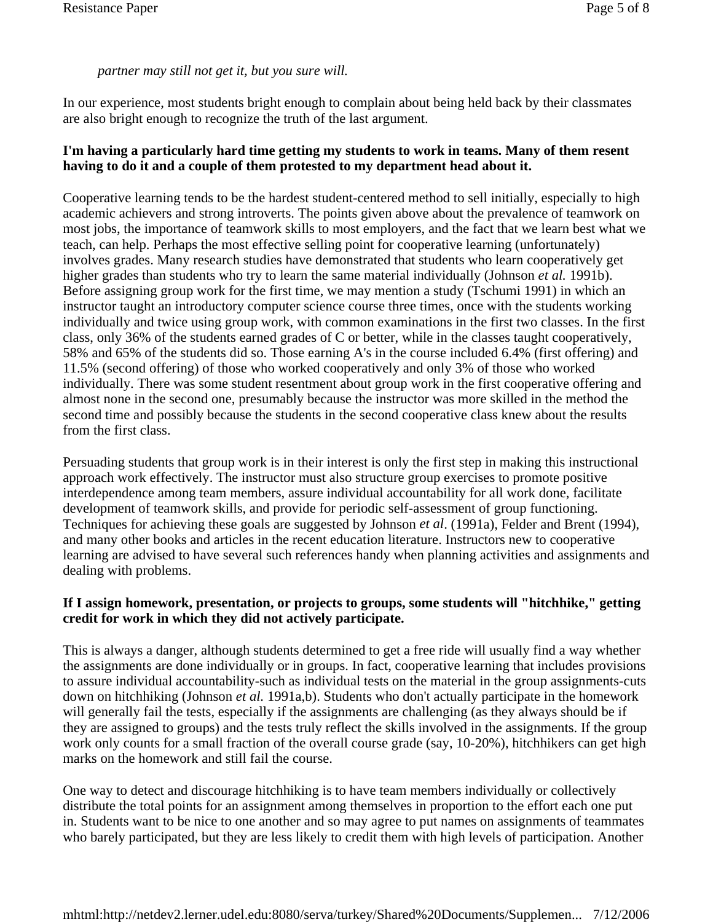#### *partner may still not get it, but you sure will.*

In our experience, most students bright enough to complain about being held back by their classmates are also bright enough to recognize the truth of the last argument.

#### **I'm having a particularly hard time getting my students to work in teams. Many of them resent having to do it and a couple of them protested to my department head about it.**

Cooperative learning tends to be the hardest student-centered method to sell initially, especially to high academic achievers and strong introverts. The points given above about the prevalence of teamwork on most jobs, the importance of teamwork skills to most employers, and the fact that we learn best what we teach, can help. Perhaps the most effective selling point for cooperative learning (unfortunately) involves grades. Many research studies have demonstrated that students who learn cooperatively get higher grades than students who try to learn the same material individually (Johnson *et al.* 1991b). Before assigning group work for the first time, we may mention a study (Tschumi 1991) in which an instructor taught an introductory computer science course three times, once with the students working individually and twice using group work, with common examinations in the first two classes. In the first class, only 36% of the students earned grades of C or better, while in the classes taught cooperatively, 58% and 65% of the students did so. Those earning A's in the course included 6.4% (first offering) and 11.5% (second offering) of those who worked cooperatively and only 3% of those who worked individually. There was some student resentment about group work in the first cooperative offering and almost none in the second one, presumably because the instructor was more skilled in the method the second time and possibly because the students in the second cooperative class knew about the results from the first class.

Persuading students that group work is in their interest is only the first step in making this instructional approach work effectively. The instructor must also structure group exercises to promote positive interdependence among team members, assure individual accountability for all work done, facilitate development of teamwork skills, and provide for periodic self-assessment of group functioning. Techniques for achieving these goals are suggested by Johnson *et al*. (1991a), Felder and Brent (1994), and many other books and articles in the recent education literature. Instructors new to cooperative learning are advised to have several such references handy when planning activities and assignments and dealing with problems.

#### **If I assign homework, presentation, or projects to groups, some students will "hitchhike," getting credit for work in which they did not actively participate.**

This is always a danger, although students determined to get a free ride will usually find a way whether the assignments are done individually or in groups. In fact, cooperative learning that includes provisions to assure individual accountability-such as individual tests on the material in the group assignments-cuts down on hitchhiking (Johnson *et al.* 1991a,b). Students who don't actually participate in the homework will generally fail the tests, especially if the assignments are challenging (as they always should be if they are assigned to groups) and the tests truly reflect the skills involved in the assignments. If the group work only counts for a small fraction of the overall course grade (say, 10-20%), hitchhikers can get high marks on the homework and still fail the course.

One way to detect and discourage hitchhiking is to have team members individually or collectively distribute the total points for an assignment among themselves in proportion to the effort each one put in. Students want to be nice to one another and so may agree to put names on assignments of teammates who barely participated, but they are less likely to credit them with high levels of participation. Another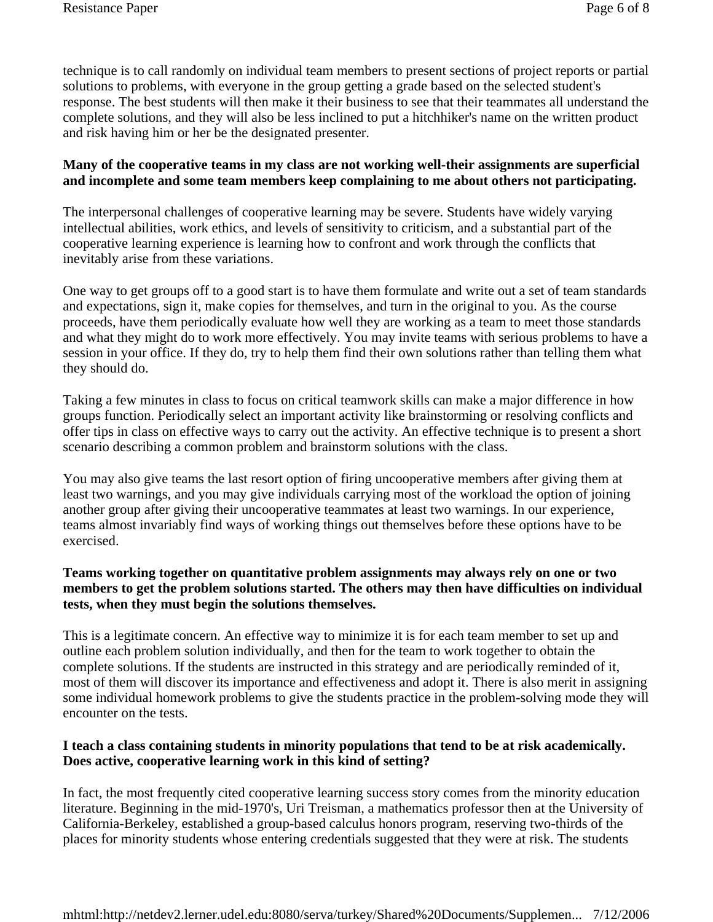technique is to call randomly on individual team members to present sections of project reports or partial solutions to problems, with everyone in the group getting a grade based on the selected student's response. The best students will then make it their business to see that their teammates all understand the complete solutions, and they will also be less inclined to put a hitchhiker's name on the written product and risk having him or her be the designated presenter.

#### **Many of the cooperative teams in my class are not working well-their assignments are superficial and incomplete and some team members keep complaining to me about others not participating.**

The interpersonal challenges of cooperative learning may be severe. Students have widely varying intellectual abilities, work ethics, and levels of sensitivity to criticism, and a substantial part of the cooperative learning experience is learning how to confront and work through the conflicts that inevitably arise from these variations.

One way to get groups off to a good start is to have them formulate and write out a set of team standards and expectations, sign it, make copies for themselves, and turn in the original to you. As the course proceeds, have them periodically evaluate how well they are working as a team to meet those standards and what they might do to work more effectively. You may invite teams with serious problems to have a session in your office. If they do, try to help them find their own solutions rather than telling them what they should do.

Taking a few minutes in class to focus on critical teamwork skills can make a major difference in how groups function. Periodically select an important activity like brainstorming or resolving conflicts and offer tips in class on effective ways to carry out the activity. An effective technique is to present a short scenario describing a common problem and brainstorm solutions with the class.

You may also give teams the last resort option of firing uncooperative members after giving them at least two warnings, and you may give individuals carrying most of the workload the option of joining another group after giving their uncooperative teammates at least two warnings. In our experience, teams almost invariably find ways of working things out themselves before these options have to be exercised.

#### **Teams working together on quantitative problem assignments may always rely on one or two members to get the problem solutions started. The others may then have difficulties on individual tests, when they must begin the solutions themselves.**

This is a legitimate concern. An effective way to minimize it is for each team member to set up and outline each problem solution individually, and then for the team to work together to obtain the complete solutions. If the students are instructed in this strategy and are periodically reminded of it, most of them will discover its importance and effectiveness and adopt it. There is also merit in assigning some individual homework problems to give the students practice in the problem-solving mode they will encounter on the tests.

#### **I teach a class containing students in minority populations that tend to be at risk academically. Does active, cooperative learning work in this kind of setting?**

In fact, the most frequently cited cooperative learning success story comes from the minority education literature. Beginning in the mid-1970's, Uri Treisman, a mathematics professor then at the University of California-Berkeley, established a group-based calculus honors program, reserving two-thirds of the places for minority students whose entering credentials suggested that they were at risk. The students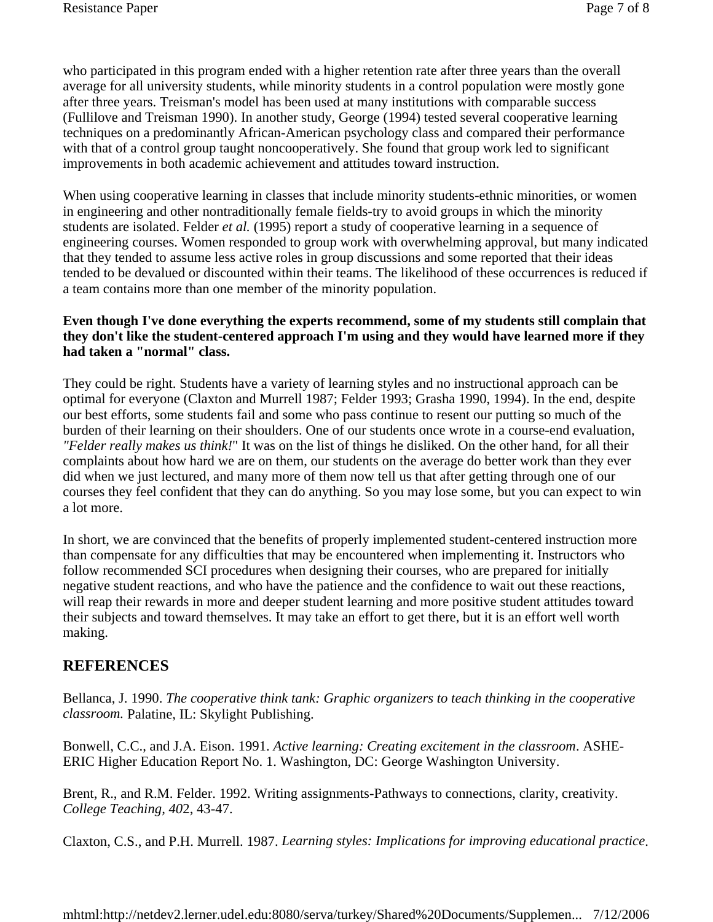who participated in this program ended with a higher retention rate after three years than the overall average for all university students, while minority students in a control population were mostly gone after three years. Treisman's model has been used at many institutions with comparable success (Fullilove and Treisman 1990). In another study, George (1994) tested several cooperative learning techniques on a predominantly African-American psychology class and compared their performance with that of a control group taught noncooperatively. She found that group work led to significant improvements in both academic achievement and attitudes toward instruction.

When using cooperative learning in classes that include minority students-ethnic minorities, or women in engineering and other nontraditionally female fields-try to avoid groups in which the minority students are isolated. Felder *et al.* (1995) report a study of cooperative learning in a sequence of engineering courses. Women responded to group work with overwhelming approval, but many indicated that they tended to assume less active roles in group discussions and some reported that their ideas tended to be devalued or discounted within their teams. The likelihood of these occurrences is reduced if a team contains more than one member of the minority population.

#### **Even though I've done everything the experts recommend, some of my students still complain that they don't like the student-centered approach I'm using and they would have learned more if they had taken a "normal" class.**

They could be right. Students have a variety of learning styles and no instructional approach can be optimal for everyone (Claxton and Murrell 1987; Felder 1993; Grasha 1990, 1994). In the end, despite our best efforts, some students fail and some who pass continue to resent our putting so much of the burden of their learning on their shoulders. One of our students once wrote in a course-end evaluation, *"Felder really makes us think!*" It was on the list of things he disliked. On the other hand, for all their complaints about how hard we are on them, our students on the average do better work than they ever did when we just lectured, and many more of them now tell us that after getting through one of our courses they feel confident that they can do anything. So you may lose some, but you can expect to win a lot more.

In short, we are convinced that the benefits of properly implemented student-centered instruction more than compensate for any difficulties that may be encountered when implementing it. Instructors who follow recommended SCI procedures when designing their courses, who are prepared for initially negative student reactions, and who have the patience and the confidence to wait out these reactions, will reap their rewards in more and deeper student learning and more positive student attitudes toward their subjects and toward themselves. It may take an effort to get there, but it is an effort well worth making.

### **REFERENCES**

Bellanca, J. 1990. *The cooperative think tank: Graphic organizers to teach thinking in the cooperative classroom.* Palatine, IL: Skylight Publishing.

Bonwell, C.C., and J.A. Eison. 1991. *Active learning: Creating excitement in the classroom*. ASHE-ERIC Higher Education Report No. 1. Washington, DC: George Washington University.

Brent, R., and R.M. Felder. 1992. Writing assignments-Pathways to connections, clarity, creativity. *College Teaching, 40*2, 43-47.

Claxton, C.S., and P.H. Murrell. 1987. *Learning styles: Implications for improving educational practice*.